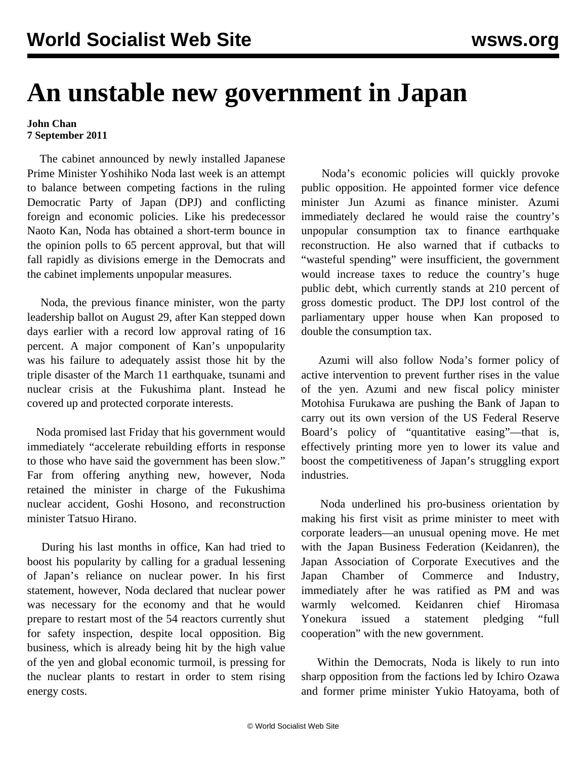## **An unstable new government in Japan**

## **John Chan 7 September 2011**

 The cabinet announced by newly installed Japanese Prime Minister Yoshihiko Noda last week is an attempt to balance between competing factions in the ruling Democratic Party of Japan (DPJ) and conflicting foreign and economic policies. Like his predecessor Naoto Kan, Noda has obtained a short-term bounce in the opinion polls to 65 percent approval, but that will fall rapidly as divisions emerge in the Democrats and the cabinet implements unpopular measures.

 Noda, the previous finance minister, won the party leadership ballot on August 29, after Kan stepped down days earlier with a record low approval rating of 16 percent. A major component of Kan's unpopularity was his failure to adequately assist those hit by the triple disaster of the March 11 earthquake, tsunami and nuclear crisis at the Fukushima plant. Instead he covered up and protected corporate interests.

 Noda promised last Friday that his government would immediately "accelerate rebuilding efforts in response to those who have said the government has been slow." Far from offering anything new, however, Noda retained the minister in charge of the Fukushima nuclear accident, Goshi Hosono, and reconstruction minister Tatsuo Hirano.

 During his last months in office, Kan had tried to boost his popularity by calling for a gradual lessening of Japan's reliance on nuclear power. In his first statement, however, Noda declared that nuclear power was necessary for the economy and that he would prepare to restart most of the 54 reactors currently shut for safety inspection, despite local opposition. Big business, which is already being hit by the high value of the yen and global economic turmoil, is pressing for the nuclear plants to restart in order to stem rising energy costs.

 Noda's economic policies will quickly provoke public opposition. He appointed former vice defence minister Jun Azumi as finance minister. Azumi immediately declared he would raise the country's unpopular consumption tax to finance earthquake reconstruction. He also warned that if cutbacks to "wasteful spending" were insufficient, the government would increase taxes to reduce the country's huge public debt, which currently stands at 210 percent of gross domestic product. The DPJ lost control of the parliamentary upper house when Kan proposed to double the consumption tax.

 Azumi will also follow Noda's former policy of active intervention to prevent further rises in the value of the yen. Azumi and new fiscal policy minister Motohisa Furukawa are pushing the Bank of Japan to carry out its own version of the US Federal Reserve Board's policy of "quantitative easing"—that is, effectively printing more yen to lower its value and boost the competitiveness of Japan's struggling export industries.

 Noda underlined his pro-business orientation by making his first visit as prime minister to meet with corporate leaders—an unusual opening move. He met with the Japan Business Federation (Keidanren), the Japan Association of Corporate Executives and the Japan Chamber of Commerce and Industry, immediately after he was ratified as PM and was warmly welcomed. Keidanren chief Hiromasa Yonekura issued a statement pledging "full cooperation" with the new government.

 Within the Democrats, Noda is likely to run into sharp opposition from the factions led by Ichiro Ozawa and former prime minister Yukio Hatoyama, both of